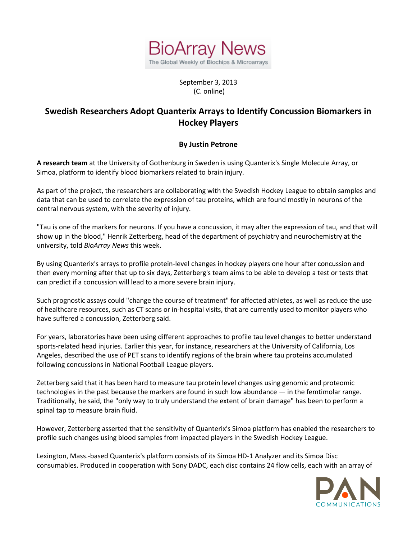

September 3, 2013 (C. online)

## **Swedish Researchers Adopt Quanterix Arrays to Identify Concussion Biomarkers in Hockey Players**

## **By Justin Petrone**

**A research team** at the University of Gothenburg in Sweden is using Quanterix's Single Molecule Array, or Simoa, platform to identify blood biomarkers related to brain injury.

As part of the project, the researchers are collaborating with the Swedish Hockey League to obtain samples and data that can be used to correlate the expression of tau proteins, which are found mostly in neurons of the central nervous system, with the severity of injury.

"Tau is one of the markers for neurons. If you have a concussion, it may alter the expression of tau, and that will show up in the blood," Henrik Zetterberg, head of the department of psychiatry and neurochemistry at the university, told *BioArray News* this week.

By using Quanterix's arrays to profile protein-level changes in hockey players one hour after concussion and then every morning after that up to six days, Zetterberg's team aims to be able to develop a test or tests that can predict if a concussion will lead to a more severe brain injury.

Such prognostic assays could "change the course of treatment" for affected athletes, as well as reduce the use of healthcare resources, such as CT scans or in-hospital visits, that are currently used to monitor players who have suffered a concussion, Zetterberg said.

For years, laboratories have been using different approaches to profile tau level changes to better understand sports-related head injuries. Earlier this year, for instance, researchers at the University of California, Los Angeles, described the use of PET scans to identify regions of the brain where tau proteins accumulated following concussions in National Football League players.

Zetterberg said that it has been hard to measure tau protein level changes using genomic and proteomic technologies in the past because the markers are found in such low abundance — in the femtimolar range. Traditionally, he said, the "only way to truly understand the extent of brain damage" has been to perform a spinal tap to measure brain fluid.

However, Zetterberg asserted that the sensitivity of Quanterix's Simoa platform has enabled the researchers to profile such changes using blood samples from impacted players in the Swedish Hockey League.

Lexington, Mass.-based Quanterix's platform consists of its Simoa HD-1 Analyzer and its Simoa Disc consumables. Produced in cooperation with Sony DADC, each disc contains 24 flow cells, each with an array of

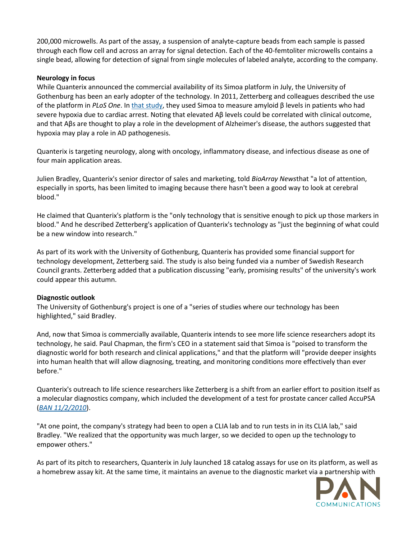200,000 microwells. As part of the assay, a suspension of analyte-capture beads from each sample is passed through each flow cell and across an array for signal detection. Each of the 40-femtoliter microwells contains a single bead, allowing for detection of signal from single molecules of labeled analyte, according to the company.

## **Neurology in focus**

While Quanterix announced the commercial availability of its Simoa platform in July, the University of Gothenburg has been an early adopter of the technology. In 2011, Zetterberg and colleagues described the use of the platform in *PLoS One*. In that [study](http://www.ncbi.nlm.nih.gov/pmc/articles/PMC3237426/), they used Simoa to measure amyloid β levels in patients who had severe hypoxia due to cardiac arrest. Noting that elevated Aβ levels could be correlated with clinical outcome, and that Aβs are thought to play a role in the development of Alzheimer's disease, the authors suggested that hypoxia may play a role in AD pathogenesis.

Quanterix is targeting neurology, along with oncology, inflammatory disease, and infectious disease as one of four main application areas.

Julien Bradley, Quanterix's senior director of sales and marketing, told *BioArray News*that "a lot of attention, especially in sports, has been limited to imaging because there hasn't been a good way to look at cerebral blood."

He claimed that Quanterix's platform is the "only technology that is sensitive enough to pick up those markers in blood." And he described Zetterberg's application of Quanterix's technology as "just the beginning of what could be a new window into research."

As part of its work with the University of Gothenburg, Quanterix has provided some financial support for technology development, Zetterberg said. The study is also being funded via a number of Swedish Research Council grants. Zetterberg added that a publication discussing "early, promising results" of the university's work could appear this autumn.

## **Diagnostic outlook**

The University of Gothenburg's project is one of a "series of studies where our technology has been highlighted," said Bradley.

And, now that Simoa is commercially available, Quanterix intends to see more life science researchers adopt its technology, he said. Paul Chapman, the firm's CEO in a statement said that Simoa is "poised to transform the diagnostic world for both research and clinical applications," and that the platform will "provide deeper insights into human health that will allow diagnosing, treating, and monitoring conditions more effectively than ever before."

Quanterix's outreach to life science researchers like Zetterberg is a shift from an earlier effort to position itself as a molecular diagnostics company, which included the development of a test for prostate cancer called AccuPSA (*BAN [11/2/2010](http://www.genomeweb.com/arrays/quanterix-wins-733k-qtdp-grant-develop-array-based-prostate-cancer-test)*).

"At one point, the company's strategy had been to open a CLIA lab and to run tests in in its CLIA lab," said Bradley. "We realized that the opportunity was much larger, so we decided to open up the technology to empower others."

As part of its pitch to researchers, Quanterix in July launched 18 catalog assays for use on its platform, as well as a homebrew assay kit. At the same time, it maintains an avenue to the diagnostic market via a partnership with